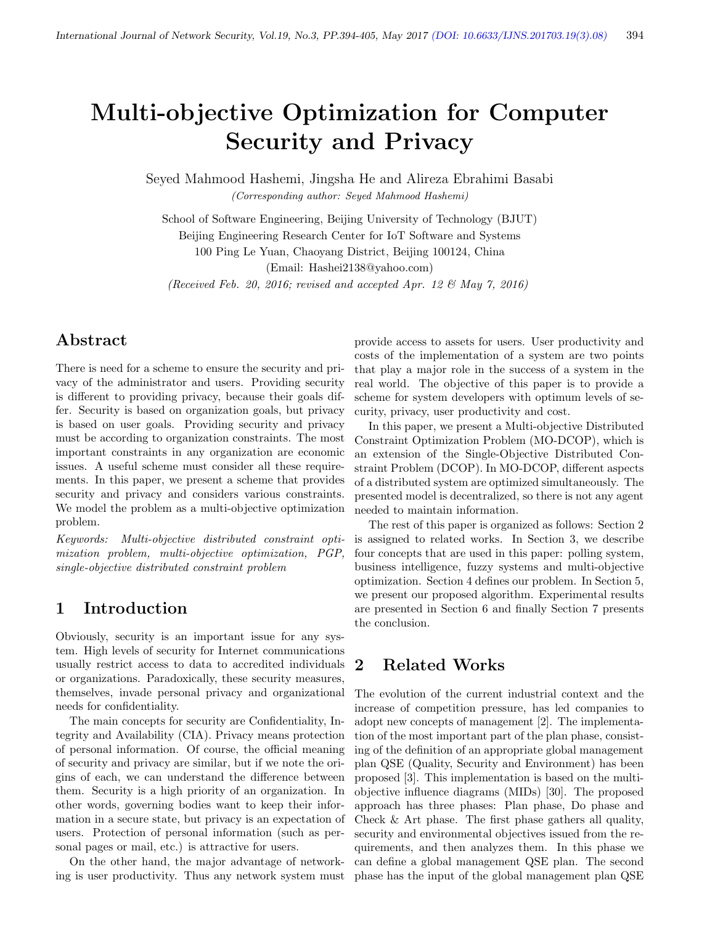# Multi-objective Optimization for Computer Security and Privacy

Seyed Mahmood Hashemi, Jingsha He and Alireza Ebrahimi Basabi (Corresponding author: Seyed Mahmood Hashemi)

School of Software Engineering, Beijing University of Technology (BJUT) Beijing Engineering Research Center for IoT Software and Systems 100 Ping Le Yuan, Chaoyang District, Beijing 100124, China

(Email: Hashei2138@yahoo.com)

(Received Feb. 20, 2016; revised and accepted Apr. 12  $\mathcal{B}$  May 7, 2016)

## Abstract

There is need for a scheme to ensure the security and privacy of the administrator and users. Providing security is different to providing privacy, because their goals differ. Security is based on organization goals, but privacy is based on user goals. Providing security and privacy must be according to organization constraints. The most important constraints in any organization are economic issues. A useful scheme must consider all these requirements. In this paper, we present a scheme that provides security and privacy and considers various constraints. We model the problem as a multi-objective optimization problem.

Keywords: Multi-objective distributed constraint optimization problem, multi-objective optimization, PGP, single-objective distributed constraint problem

#### 1 Introduction

Obviously, security is an important issue for any system. High levels of security for Internet communications usually restrict access to data to accredited individuals or organizations. Paradoxically, these security measures, themselves, invade personal privacy and organizational needs for confidentiality.

The main concepts for security are Confidentiality, Integrity and Availability (CIA). Privacy means protection of personal information. Of course, the official meaning of security and privacy are similar, but if we note the origins of each, we can understand the difference between them. Security is a high priority of an organization. In other words, governing bodies want to keep their information in a secure state, but privacy is an expectation of users. Protection of personal information (such as personal pages or mail, etc.) is attractive for users.

On the other hand, the major advantage of networking is user productivity. Thus any network system must

provide access to assets for users. User productivity and costs of the implementation of a system are two points that play a major role in the success of a system in the real world. The objective of this paper is to provide a scheme for system developers with optimum levels of security, privacy, user productivity and cost.

In this paper, we present a Multi-objective Distributed Constraint Optimization Problem (MO-DCOP), which is an extension of the Single-Objective Distributed Constraint Problem (DCOP). In MO-DCOP, different aspects of a distributed system are optimized simultaneously. The presented model is decentralized, so there is not any agent needed to maintain information.

The rest of this paper is organized as follows: Section 2 is assigned to related works. In Section 3, we describe four concepts that are used in this paper: polling system, business intelligence, fuzzy systems and multi-objective optimization. Section 4 defines our problem. In Section 5, we present our proposed algorithm. Experimental results are presented in Section 6 and finally Section 7 presents the conclusion.

### 2 Related Works

The evolution of the current industrial context and the increase of competition pressure, has led companies to adopt new concepts of management [2]. The implementation of the most important part of the plan phase, consisting of the definition of an appropriate global management plan QSE (Quality, Security and Environment) has been proposed [3]. This implementation is based on the multiobjective influence diagrams (MIDs) [30]. The proposed approach has three phases: Plan phase, Do phase and Check & Art phase. The first phase gathers all quality, security and environmental objectives issued from the requirements, and then analyzes them. In this phase we can define a global management QSE plan. The second phase has the input of the global management plan QSE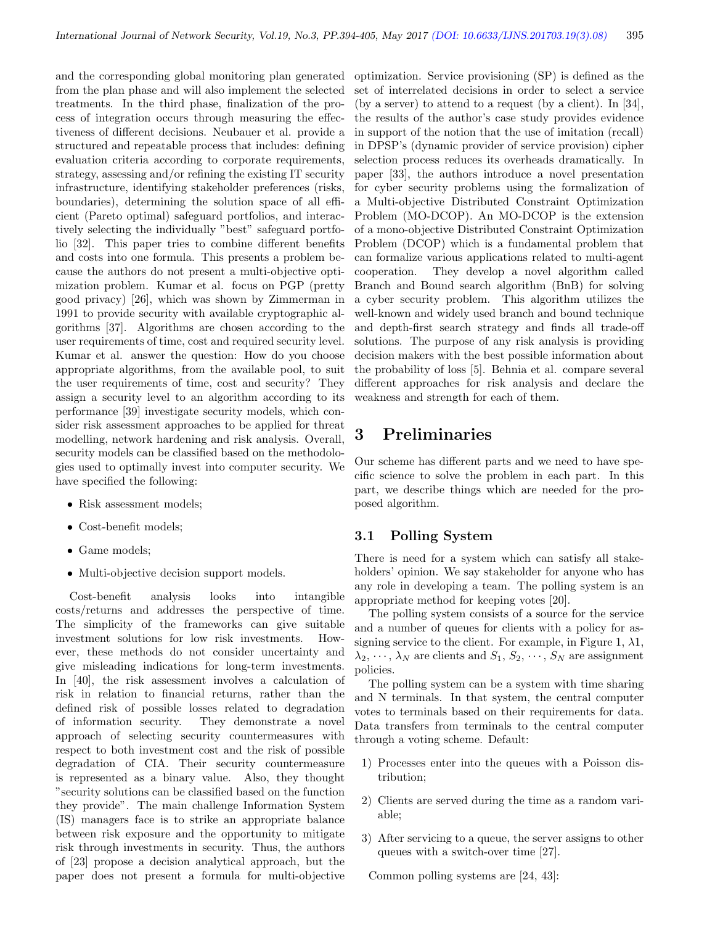and the corresponding global monitoring plan generated from the plan phase and will also implement the selected treatments. In the third phase, finalization of the process of integration occurs through measuring the effectiveness of different decisions. Neubauer et al. provide a structured and repeatable process that includes: defining evaluation criteria according to corporate requirements, strategy, assessing and/or refining the existing IT security infrastructure, identifying stakeholder preferences (risks, boundaries), determining the solution space of all efficient (Pareto optimal) safeguard portfolios, and interactively selecting the individually "best" safeguard portfolio [32]. This paper tries to combine different benefits and costs into one formula. This presents a problem because the authors do not present a multi-objective optimization problem. Kumar et al. focus on PGP (pretty good privacy) [26], which was shown by Zimmerman in 1991 to provide security with available cryptographic algorithms [37]. Algorithms are chosen according to the user requirements of time, cost and required security level. Kumar et al. answer the question: How do you choose appropriate algorithms, from the available pool, to suit the user requirements of time, cost and security? They assign a security level to an algorithm according to its performance [39] investigate security models, which consider risk assessment approaches to be applied for threat modelling, network hardening and risk analysis. Overall, security models can be classified based on the methodologies used to optimally invest into computer security. We have specified the following:

- Risk assessment models;
- Cost-benefit models;
- Game models;
- Multi-objective decision support models.

Cost-benefit analysis looks into intangible costs/returns and addresses the perspective of time. The simplicity of the frameworks can give suitable investment solutions for low risk investments. However, these methods do not consider uncertainty and give misleading indications for long-term investments. In [40], the risk assessment involves a calculation of risk in relation to financial returns, rather than the defined risk of possible losses related to degradation of information security. They demonstrate a novel approach of selecting security countermeasures with respect to both investment cost and the risk of possible degradation of CIA. Their security countermeasure is represented as a binary value. Also, they thought "security solutions can be classified based on the function they provide". The main challenge Information System (IS) managers face is to strike an appropriate balance between risk exposure and the opportunity to mitigate risk through investments in security. Thus, the authors of [23] propose a decision analytical approach, but the paper does not present a formula for multi-objective optimization. Service provisioning (SP) is defined as the set of interrelated decisions in order to select a service (by a server) to attend to a request (by a client). In [34], the results of the author's case study provides evidence in support of the notion that the use of imitation (recall) in DPSP's (dynamic provider of service provision) cipher selection process reduces its overheads dramatically. In paper [33], the authors introduce a novel presentation for cyber security problems using the formalization of a Multi-objective Distributed Constraint Optimization Problem (MO-DCOP). An MO-DCOP is the extension of a mono-objective Distributed Constraint Optimization Problem (DCOP) which is a fundamental problem that can formalize various applications related to multi-agent cooperation. They develop a novel algorithm called Branch and Bound search algorithm (BnB) for solving a cyber security problem. This algorithm utilizes the well-known and widely used branch and bound technique and depth-first search strategy and finds all trade-off solutions. The purpose of any risk analysis is providing decision makers with the best possible information about the probability of loss [5]. Behnia et al. compare several different approaches for risk analysis and declare the weakness and strength for each of them.

### 3 Preliminaries

Our scheme has different parts and we need to have specific science to solve the problem in each part. In this part, we describe things which are needed for the proposed algorithm.

#### 3.1 Polling System

There is need for a system which can satisfy all stakeholders' opinion. We say stakeholder for anyone who has any role in developing a team. The polling system is an appropriate method for keeping votes [20].

The polling system consists of a source for the service and a number of queues for clients with a policy for assigning service to the client. For example, in Figure 1,  $\lambda$ 1,  $\lambda_2, \cdots, \lambda_N$  are clients and  $S_1, S_2, \cdots, S_N$  are assignment policies.

The polling system can be a system with time sharing and N terminals. In that system, the central computer votes to terminals based on their requirements for data. Data transfers from terminals to the central computer through a voting scheme. Default:

- 1) Processes enter into the queues with a Poisson distribution;
- 2) Clients are served during the time as a random variable;
- 3) After servicing to a queue, the server assigns to other queues with a switch-over time [27].

Common polling systems are [24, 43]: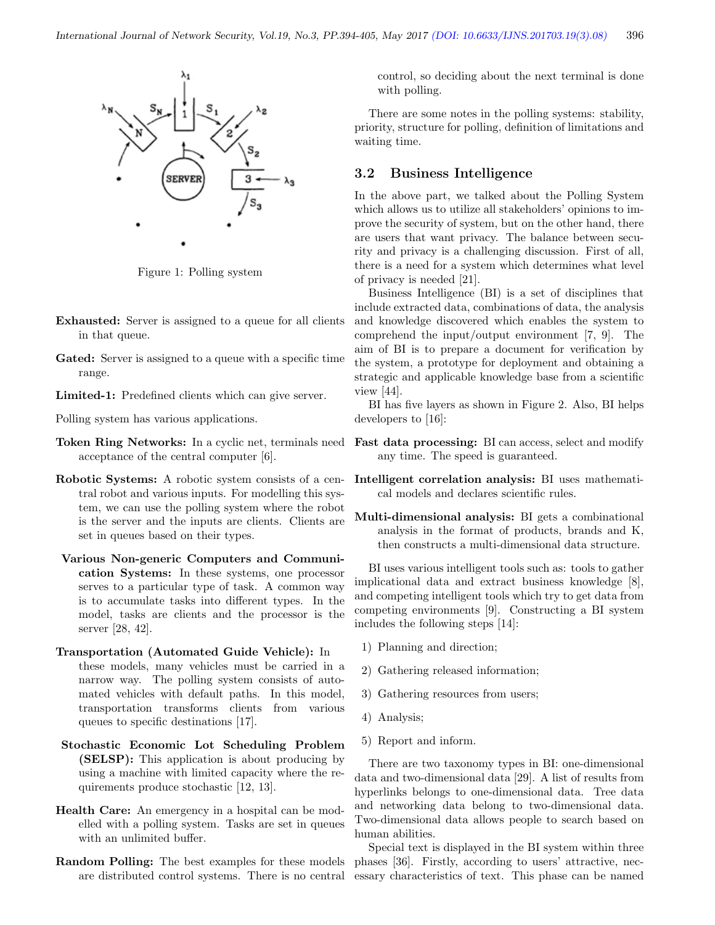

Figure 1: Polling system

- Exhausted: Server is assigned to a queue for all clients in that queue.
- Gated: Server is assigned to a queue with a specific time range.
- Limited-1: Predefined clients which can give server.

Polling system has various applications.

- Token Ring Networks: In a cyclic net, terminals need acceptance of the central computer [6].
- Robotic Systems: A robotic system consists of a central robot and various inputs. For modelling this system, we can use the polling system where the robot is the server and the inputs are clients. Clients are set in queues based on their types.
- Various Non-generic Computers and Communication Systems: In these systems, one processor serves to a particular type of task. A common way is to accumulate tasks into different types. In the model, tasks are clients and the processor is the server [28, 42].
- Transportation (Automated Guide Vehicle): In these models, many vehicles must be carried in a narrow way. The polling system consists of automated vehicles with default paths. In this model, transportation transforms clients from various queues to specific destinations [17].
- Stochastic Economic Lot Scheduling Problem (SELSP): This application is about producing by using a machine with limited capacity where the requirements produce stochastic [12, 13].
- Health Care: An emergency in a hospital can be modelled with a polling system. Tasks are set in queues with an unlimited buffer.
- Random Polling: The best examples for these models are distributed control systems. There is no central

control, so deciding about the next terminal is done with polling.

There are some notes in the polling systems: stability, priority, structure for polling, definition of limitations and waiting time.

#### 3.2 Business Intelligence

In the above part, we talked about the Polling System which allows us to utilize all stakeholders' opinions to improve the security of system, but on the other hand, there are users that want privacy. The balance between security and privacy is a challenging discussion. First of all, there is a need for a system which determines what level of privacy is needed [21].

Business Intelligence (BI) is a set of disciplines that include extracted data, combinations of data, the analysis and knowledge discovered which enables the system to comprehend the input/output environment [7, 9]. The aim of BI is to prepare a document for verification by the system, a prototype for deployment and obtaining a strategic and applicable knowledge base from a scientific view [44].

BI has five layers as shown in Figure 2. Also, BI helps developers to [16]:

- Fast data processing: BI can access, select and modify any time. The speed is guaranteed.
- Intelligent correlation analysis: BI uses mathematical models and declares scientific rules.
- Multi-dimensional analysis: BI gets a combinational analysis in the format of products, brands and K, then constructs a multi-dimensional data structure.

BI uses various intelligent tools such as: tools to gather implicational data and extract business knowledge [8], and competing intelligent tools which try to get data from competing environments [9]. Constructing a BI system includes the following steps [14]:

- 1) Planning and direction;
- 2) Gathering released information;
- 3) Gathering resources from users;
- 4) Analysis;
- 5) Report and inform.

There are two taxonomy types in BI: one-dimensional data and two-dimensional data [29]. A list of results from hyperlinks belongs to one-dimensional data. Tree data and networking data belong to two-dimensional data. Two-dimensional data allows people to search based on human abilities.

Special text is displayed in the BI system within three phases [36]. Firstly, according to users' attractive, necessary characteristics of text. This phase can be named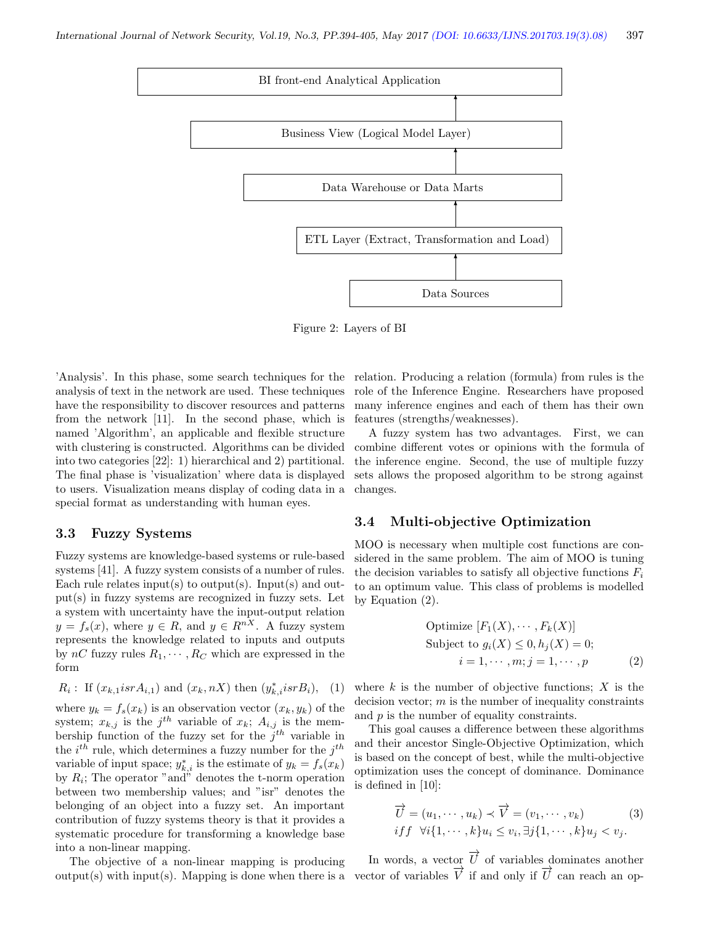

Figure 2: Layers of BI

'Analysis'. In this phase, some search techniques for the analysis of text in the network are used. These techniques have the responsibility to discover resources and patterns from the network [11]. In the second phase, which is named 'Algorithm', an applicable and flexible structure with clustering is constructed. Algorithms can be divided into two categories [22]: 1) hierarchical and 2) partitional. The final phase is 'visualization' where data is displayed to users. Visualization means display of coding data in a special format as understanding with human eyes.

#### 3.3 Fuzzy Systems

into a non-linear mapping.

Fuzzy systems are knowledge-based systems or rule-based systems [41]. A fuzzy system consists of a number of rules. Each rule relates input(s) to output(s). Input(s) and output(s) in fuzzy systems are recognized in fuzzy sets. Let a system with uncertainty have the input-output relation  $y = f_s(x)$ , where  $y \in R$ , and  $y \in R^{nX}$ . A fuzzy system represents the knowledge related to inputs and outputs by  $nC$  fuzzy rules  $R_1, \dots, R_C$  which are expressed in the form

 $R_i$ : If  $(x_{k,1}isrA_{i,1})$  and  $(x_k, nX)$  then  $(y_{k,i}^*isrB_i)$ , (1) where  $y_k = f_s(x_k)$  is an observation vector  $(x_k, y_k)$  of the system;  $x_{k,j}$  is the j<sup>th</sup> variable of  $x_k$ ;  $A_{i,j}$  is the membership function of the fuzzy set for the  $j<sup>th</sup>$  variable in the  $i^{th}$  rule, which determines a fuzzy number for the  $j^{th}$ variable of input space;  $y_{k,i}^*$  is the estimate of  $y_k = f_s(x_k)$ by  $R_i$ ; The operator "and" denotes the t-norm operation between two membership values; and "isr" denotes the belonging of an object into a fuzzy set. An important contribution of fuzzy systems theory is that it provides a

The objective of a non-linear mapping is producing  $output(s)$  with input(s). Mapping is done when there is a

systematic procedure for transforming a knowledge base

relation. Producing a relation (formula) from rules is the role of the Inference Engine. Researchers have proposed many inference engines and each of them has their own features (strengths/weaknesses).

A fuzzy system has two advantages. First, we can combine different votes or opinions with the formula of the inference engine. Second, the use of multiple fuzzy sets allows the proposed algorithm to be strong against changes.

#### 3.4 Multi-objective Optimization

MOO is necessary when multiple cost functions are considered in the same problem. The aim of MOO is tuning the decision variables to satisfy all objective functions  $F_i$ to an optimum value. This class of problems is modelled by Equation (2).

Optimize 
$$
[F_1(X), \dots, F_k(X)]
$$
  
Subject to  $g_i(X) \le 0, h_j(X) = 0$ ;  
 $i = 1, \dots, m; j = 1, \dots, p$  (2)

where  $k$  is the number of objective functions;  $X$  is the decision vector;  $m$  is the number of inequality constraints and  $p$  is the number of equality constraints.

This goal causes a difference between these algorithms and their ancestor Single-Objective Optimization, which is based on the concept of best, while the multi-objective optimization uses the concept of dominance. Dominance is defined in [10]:

$$
\overrightarrow{U} = (u_1, \dots, u_k) \prec \overrightarrow{V} = (v_1, \dots, v_k)
$$
  
if  $f \forall i \{1, \dots, k\} u_i \le v_i, \exists j \{1, \dots, k\} u_j < v_j.$  (3)

In words, a vector  $\vec{U}$  of variables dominates another vector of variables  $\overrightarrow{V}$  if and only if  $\overrightarrow{U}$  can reach an op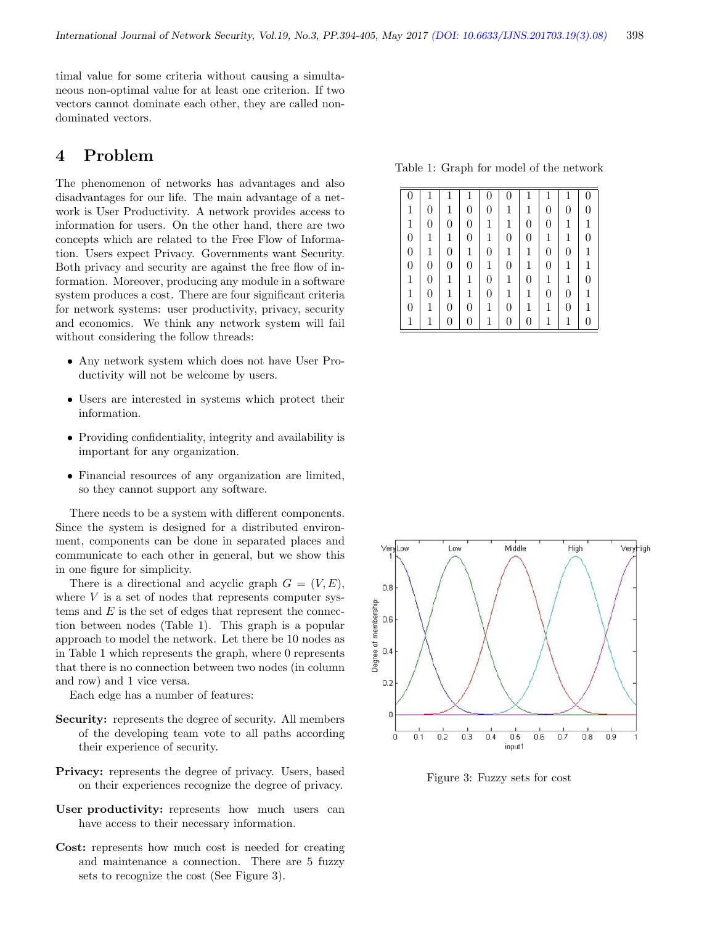timal value for some criteria without causing a simultaneous non-optimal value for at least one criterion. If two vectors cannot dominate each other, they are called nondominated vectors.

## 4 Problem

The phenomenon of networks has advantages and also disadvantages for our life. The main advantage of a network is User Productivity. A network provides access to information for users. On the other hand, there are two concepts which are related to the Free Flow of Information. Users expect Privacy. Governments want Security. Both privacy and security are against the free flow of information. Moreover, producing any module in a software system produces a cost. There are four significant criteria for network systems: user productivity, privacy, security and economics. We think any network system will fail without considering the follow threads:

- Any network system which does not have User Productivity will not be welcome by users.
- Users are interested in systems which protect their information.
- Providing confidentiality, integrity and availability is important for any organization.
- Financial resources of any organization are limited, so they cannot support any software.

There needs to be a system with different components. Since the system is designed for a distributed environment, components can be done in separated places and communicate to each other in general, but we show this in one figure for simplicity.

There is a directional and acyclic graph  $G = (V, E)$ , where  $V$  is a set of nodes that represents computer systems and  $E$  is the set of edges that represent the connection between nodes (Table 1). This graph is a popular approach to model the network. Let there be 10 nodes as in Table 1 which represents the graph, where 0 represents that there is no connection between two nodes (in column and row) and 1 vice versa.

Each edge has a number of features:

- Security: represents the degree of security. All members of the developing team vote to all paths according their experience of security.
- Privacy: represents the degree of privacy. Users, based on their experiences recognize the degree of privacy.
- User productivity: represents how much users can have access to their necessary information.
- Cost: represents how much cost is needed for creating and maintenance a connection. There are 5 fuzzy sets to recognize the cost (See Figure 3).

Table 1: Graph for model of the network

| 0                |                  |                  |                  | $\boldsymbol{0}$ | $\overline{0}$   | $\mathbf{1}$     |                  | $\mathbf{1}$     |                  |
|------------------|------------------|------------------|------------------|------------------|------------------|------------------|------------------|------------------|------------------|
| 1                | $\overline{0}$   | 1                | $\overline{0}$   | $\boldsymbol{0}$ | 1                | 1                | $\overline{0}$   | $\boldsymbol{0}$ | 0                |
| 1                | $\overline{0}$   | $\theta$         | $\overline{0}$   | 1                | $\mathbf{1}$     | $\overline{0}$   | $\boldsymbol{0}$ | $\mathbf{1}$     | $\mathbf{1}$     |
| $\overline{0}$   | 1                | $\mathbf{1}$     | $\overline{0}$   | $\mathbf{1}$     | $\overline{0}$   | $\overline{0}$   | 1                | $\mathbf{1}$     | 0                |
| $\overline{0}$   | 1                | $\overline{0}$   | $\mathbf{1}$     | $\overline{0}$   | $\mathbf 1$      | 1                | $\overline{0}$   | $\overline{0}$   | 1                |
| $\boldsymbol{0}$ | $\boldsymbol{0}$ | $\boldsymbol{0}$ | $\overline{0}$   | $\mathbf 1$      | $\overline{0}$   | $\mathbf{1}$     | $\overline{0}$   | $\mathbf{1}$     | $\mathbf{1}$     |
| $\mathbf{1}$     | $\boldsymbol{0}$ | $\mathbf 1$      | 1                | $\boldsymbol{0}$ | $\mathbf 1$      | $\boldsymbol{0}$ | $\mathbf{1}$     | $\mathbf{1}$     | $\boldsymbol{0}$ |
| 1                | $\boldsymbol{0}$ | $\mathbf 1$      | $\mathbf{1}$     | $\boldsymbol{0}$ | $\mathbf{1}$     | $\mathbf 1$      | $\overline{0}$   | $\boldsymbol{0}$ | $\mathbf{1}$     |
| $\boldsymbol{0}$ | 1                | $\boldsymbol{0}$ | $\boldsymbol{0}$ | 1                | $\boldsymbol{0}$ | $\mathbf 1$      | 1                | $\boldsymbol{0}$ | 1                |
| 1                |                  | 0                | 0                | 1                | $\boldsymbol{0}$ | 0                | 1                | $\mathbf{1}$     |                  |



Figure 3: Fuzzy sets for cost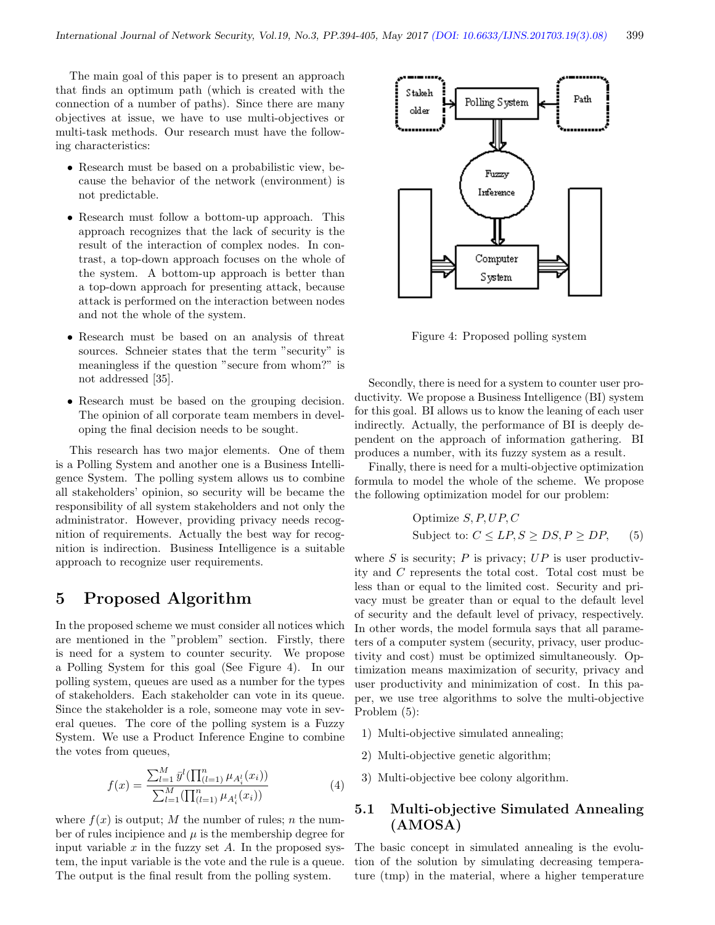The main goal of this paper is to present an approach that finds an optimum path (which is created with the connection of a number of paths). Since there are many objectives at issue, we have to use multi-objectives or multi-task methods. Our research must have the following characteristics:

- Research must be based on a probabilistic view, because the behavior of the network (environment) is not predictable.
- Research must follow a bottom-up approach. This approach recognizes that the lack of security is the result of the interaction of complex nodes. In contrast, a top-down approach focuses on the whole of the system. A bottom-up approach is better than a top-down approach for presenting attack, because attack is performed on the interaction between nodes and not the whole of the system.
- Research must be based on an analysis of threat sources. Schneier states that the term "security" is meaningless if the question "secure from whom?" is not addressed [35].
- Research must be based on the grouping decision. The opinion of all corporate team members in developing the final decision needs to be sought.

This research has two major elements. One of them is a Polling System and another one is a Business Intelligence System. The polling system allows us to combine all stakeholders' opinion, so security will be became the responsibility of all system stakeholders and not only the administrator. However, providing privacy needs recognition of requirements. Actually the best way for recognition is indirection. Business Intelligence is a suitable approach to recognize user requirements.

### 5 Proposed Algorithm

In the proposed scheme we must consider all notices which are mentioned in the "problem" section. Firstly, there is need for a system to counter security. We propose a Polling System for this goal (See Figure 4). In our polling system, queues are used as a number for the types of stakeholders. Each stakeholder can vote in its queue. Since the stakeholder is a role, someone may vote in several queues. The core of the polling system is a Fuzzy System. We use a Product Inference Engine to combine the votes from queues,

$$
f(x) = \frac{\sum_{l=1}^{M} \bar{y}^{l} (\prod_{(l=1)}^{n} \mu_{A_i^l}(x_i))}{\sum_{l=1}^{M} (\prod_{(l=1)}^{n} \mu_{A_i^l}(x_i))}
$$
(4)

where  $f(x)$  is output; M the number of rules; n the number of rules incipience and  $\mu$  is the membership degree for input variable  $x$  in the fuzzy set  $A$ . In the proposed system, the input variable is the vote and the rule is a queue. The output is the final result from the polling system.



Figure 4: Proposed polling system

Secondly, there is need for a system to counter user productivity. We propose a Business Intelligence (BI) system for this goal. BI allows us to know the leaning of each user indirectly. Actually, the performance of BI is deeply dependent on the approach of information gathering. BI produces a number, with its fuzzy system as a result.

Finally, there is need for a multi-objective optimization formula to model the whole of the scheme. We propose the following optimization model for our problem:

Optimize 
$$
S, P, UP, C
$$
  
Subject to:  $C \le LP, S \ge DS, P \ge DP$ , (5)

where  $S$  is security;  $P$  is privacy;  $UP$  is user productivity and C represents the total cost. Total cost must be less than or equal to the limited cost. Security and privacy must be greater than or equal to the default level of security and the default level of privacy, respectively. In other words, the model formula says that all parameters of a computer system (security, privacy, user productivity and cost) must be optimized simultaneously. Optimization means maximization of security, privacy and user productivity and minimization of cost. In this paper, we use tree algorithms to solve the multi-objective Problem (5):

- 1) Multi-objective simulated annealing;
- 2) Multi-objective genetic algorithm;
- 3) Multi-objective bee colony algorithm.

#### 5.1 Multi-objective Simulated Annealing (AMOSA)

The basic concept in simulated annealing is the evolution of the solution by simulating decreasing temperature (tmp) in the material, where a higher temperature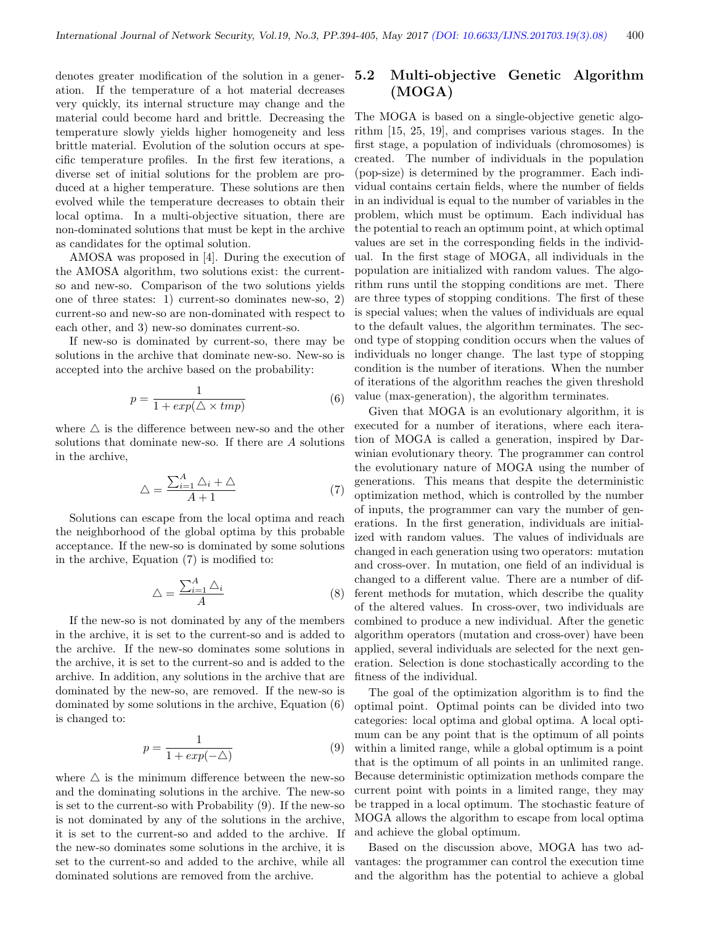denotes greater modification of the solution in a generation. If the temperature of a hot material decreases very quickly, its internal structure may change and the material could become hard and brittle. Decreasing the temperature slowly yields higher homogeneity and less brittle material. Evolution of the solution occurs at specific temperature profiles. In the first few iterations, a diverse set of initial solutions for the problem are produced at a higher temperature. These solutions are then evolved while the temperature decreases to obtain their local optima. In a multi-objective situation, there are non-dominated solutions that must be kept in the archive as candidates for the optimal solution.

AMOSA was proposed in [4]. During the execution of the AMOSA algorithm, two solutions exist: the currentso and new-so. Comparison of the two solutions yields one of three states: 1) current-so dominates new-so, 2) current-so and new-so are non-dominated with respect to each other, and 3) new-so dominates current-so.

If new-so is dominated by current-so, there may be solutions in the archive that dominate new-so. New-so is accepted into the archive based on the probability:

$$
p = \frac{1}{1 + exp(\triangle \times tmp)}
$$
 (6)

where  $\triangle$  is the difference between new-so and the other solutions that dominate new-so. If there are A solutions in the archive,

$$
\triangle = \frac{\sum_{i=1}^{A} \triangle_i + \triangle}{A + 1} \tag{7}
$$

Solutions can escape from the local optima and reach the neighborhood of the global optima by this probable acceptance. If the new-so is dominated by some solutions in the archive, Equation (7) is modified to:

$$
\triangle = \frac{\sum_{i=1}^{A} \triangle_i}{A} \tag{8}
$$

If the new-so is not dominated by any of the members in the archive, it is set to the current-so and is added to the archive. If the new-so dominates some solutions in the archive, it is set to the current-so and is added to the archive. In addition, any solutions in the archive that are dominated by the new-so, are removed. If the new-so is dominated by some solutions in the archive, Equation (6) is changed to:

$$
p = \frac{1}{1 + exp(-\triangle)}\tag{9}
$$

where  $\triangle$  is the minimum difference between the new-so and the dominating solutions in the archive. The new-so is set to the current-so with Probability (9). If the new-so is not dominated by any of the solutions in the archive, it is set to the current-so and added to the archive. If the new-so dominates some solutions in the archive, it is set to the current-so and added to the archive, while all dominated solutions are removed from the archive.

#### 5.2 Multi-objective Genetic Algorithm (MOGA)

The MOGA is based on a single-objective genetic algorithm [15, 25, 19], and comprises various stages. In the first stage, a population of individuals (chromosomes) is created. The number of individuals in the population (pop-size) is determined by the programmer. Each individual contains certain fields, where the number of fields in an individual is equal to the number of variables in the problem, which must be optimum. Each individual has the potential to reach an optimum point, at which optimal values are set in the corresponding fields in the individual. In the first stage of MOGA, all individuals in the population are initialized with random values. The algorithm runs until the stopping conditions are met. There are three types of stopping conditions. The first of these is special values; when the values of individuals are equal to the default values, the algorithm terminates. The second type of stopping condition occurs when the values of individuals no longer change. The last type of stopping condition is the number of iterations. When the number of iterations of the algorithm reaches the given threshold value (max-generation), the algorithm terminates.

Given that MOGA is an evolutionary algorithm, it is executed for a number of iterations, where each iteration of MOGA is called a generation, inspired by Darwinian evolutionary theory. The programmer can control the evolutionary nature of MOGA using the number of generations. This means that despite the deterministic optimization method, which is controlled by the number of inputs, the programmer can vary the number of generations. In the first generation, individuals are initialized with random values. The values of individuals are changed in each generation using two operators: mutation and cross-over. In mutation, one field of an individual is changed to a different value. There are a number of different methods for mutation, which describe the quality of the altered values. In cross-over, two individuals are combined to produce a new individual. After the genetic algorithm operators (mutation and cross-over) have been applied, several individuals are selected for the next generation. Selection is done stochastically according to the fitness of the individual.

The goal of the optimization algorithm is to find the optimal point. Optimal points can be divided into two categories: local optima and global optima. A local optimum can be any point that is the optimum of all points within a limited range, while a global optimum is a point that is the optimum of all points in an unlimited range. Because deterministic optimization methods compare the current point with points in a limited range, they may be trapped in a local optimum. The stochastic feature of MOGA allows the algorithm to escape from local optima and achieve the global optimum.

Based on the discussion above, MOGA has two advantages: the programmer can control the execution time and the algorithm has the potential to achieve a global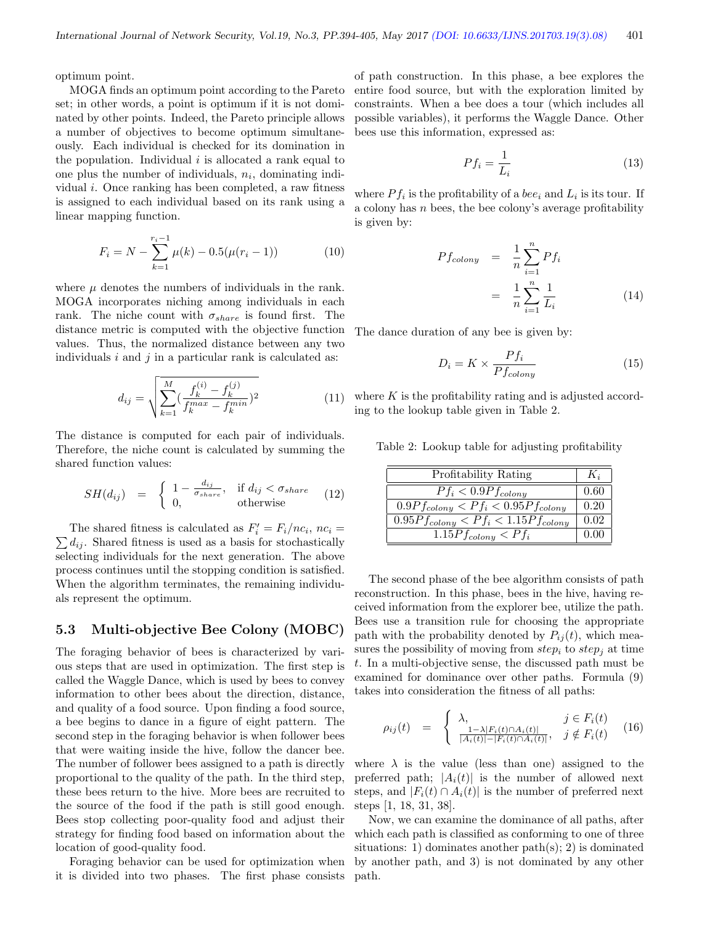optimum point.

MOGA finds an optimum point according to the Pareto set; in other words, a point is optimum if it is not dominated by other points. Indeed, the Pareto principle allows a number of objectives to become optimum simultaneously. Each individual is checked for its domination in the population. Individual  $i$  is allocated a rank equal to one plus the number of individuals,  $n_i$ , dominating individual i. Once ranking has been completed, a raw fitness is assigned to each individual based on its rank using a linear mapping function.

$$
F_i = N - \sum_{k=1}^{r_i - 1} \mu(k) - 0.5(\mu(r_i - 1))
$$
 (10)

where  $\mu$  denotes the numbers of individuals in the rank. MOGA incorporates niching among individuals in each rank. The niche count with  $\sigma_{share}$  is found first. The distance metric is computed with the objective function values. Thus, the normalized distance between any two individuals  $i$  and  $j$  in a particular rank is calculated as:

$$
d_{ij} = \sqrt{\sum_{k=1}^{M} \left(\frac{f_k^{(i)} - f_k^{(j)}}{f_k^{max} - f_k^{min}}\right)^2}
$$
(11)

The distance is computed for each pair of individuals. Therefore, the niche count is calculated by summing the shared function values:

$$
SH(d_{ij}) = \begin{cases} 1 - \frac{d_{ij}}{\sigma_{share}}, & \text{if } d_{ij} < \sigma_{share} \\ 0, & \text{otherwise} \end{cases} (12)
$$

The shared fitness is calculated as  $F_i' = F_i/nc_i$ The shared fitness is calculated as  $F'_i = F_i/nc_i$ ,  $nc_i = \sum d_{ij}$ . Shared fitness is used as a basis for stochastically selecting individuals for the next generation. The above process continues until the stopping condition is satisfied. When the algorithm terminates, the remaining individuals represent the optimum.

#### 5.3 Multi-objective Bee Colony (MOBC)

The foraging behavior of bees is characterized by various steps that are used in optimization. The first step is called the Waggle Dance, which is used by bees to convey information to other bees about the direction, distance, and quality of a food source. Upon finding a food source, a bee begins to dance in a figure of eight pattern. The second step in the foraging behavior is when follower bees that were waiting inside the hive, follow the dancer bee. The number of follower bees assigned to a path is directly proportional to the quality of the path. In the third step, these bees return to the hive. More bees are recruited to the source of the food if the path is still good enough. Bees stop collecting poor-quality food and adjust their strategy for finding food based on information about the location of good-quality food.

Foraging behavior can be used for optimization when it is divided into two phases. The first phase consists of path construction. In this phase, a bee explores the entire food source, but with the exploration limited by constraints. When a bee does a tour (which includes all possible variables), it performs the Waggle Dance. Other bees use this information, expressed as:

$$
Pf_i = \frac{1}{L_i} \tag{13}
$$

where  $Pf_i$  is the profitability of a *bee<sub>i</sub>* and  $L_i$  is its tour. If a colony has  $n$  bees, the bee colony's average profitability is given by:

$$
Pf_{\text{colony}} = \frac{1}{n} \sum_{i=1}^{n} Pf_i
$$

$$
= \frac{1}{n} \sum_{i=1}^{n} \frac{1}{L_i}
$$
(14)

The dance duration of any bee is given by:

$$
D_i = K \times \frac{Pf_i}{Pf_{\text{color}}}
$$
\n(15)

where  $K$  is the profitability rating and is adjusted according to the lookup table given in Table 2.

Table 2: Lookup table for adjusting profitability

| Profitability Rating                       | $K_i$ |
|--------------------------------------------|-------|
| $Pf_i < 0.9Pf_{colony}$                    | 0.60  |
| $0.9Pf_{colony} < Pf_i < 0.95Pf_{colony}$  | 0.20  |
| $0.95Pf_{colony} < Pf_i < 1.15Pf_{colony}$ | 0.02  |
| $1.15Pf_{colony} < Pf_i$                   |       |

The second phase of the bee algorithm consists of path reconstruction. In this phase, bees in the hive, having received information from the explorer bee, utilize the path. Bees use a transition rule for choosing the appropriate path with the probability denoted by  $P_{ij}(t)$ , which measures the possibility of moving from  $step_i$  to  $step_j$  at time t. In a multi-objective sense, the discussed path must be examined for dominance over other paths. Formula (9) takes into consideration the fitness of all paths:

$$
\rho_{ij}(t) = \begin{cases} \lambda, & j \in F_i(t) \\ \frac{1-\lambda|F_i(t)\cap A_i(t)|}{|A_i(t)|-|F_i(t)\cap A_i(t)|}, & j \notin F_i(t) \end{cases}
$$
(16)

where  $\lambda$  is the value (less than one) assigned to the preferred path;  $|A_i(t)|$  is the number of allowed next steps, and  $|F_i(t) \cap A_i(t)|$  is the number of preferred next steps [1, 18, 31, 38].

Now, we can examine the dominance of all paths, after which each path is classified as conforming to one of three situations: 1) dominates another path(s); 2) is dominated by another path, and 3) is not dominated by any other path.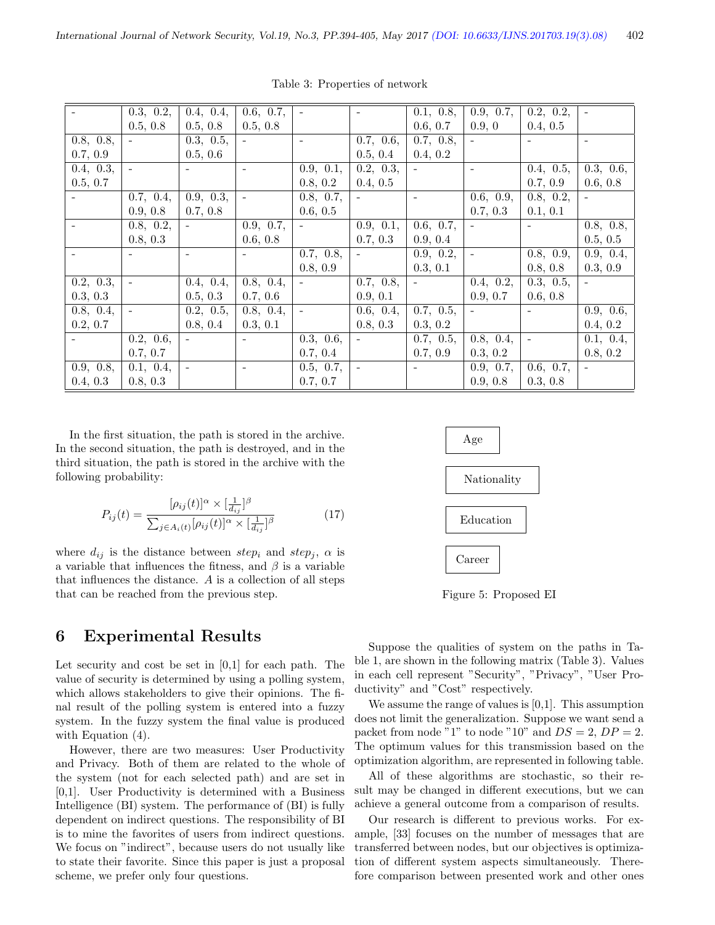|                | 0.3, 0.2, | 0.4, 0.4,                | 0.6, 0.7,      | $\overline{\phantom{a}}$ | $\overline{\phantom{a}}$ | 0.1, 0.8,         | 0.9, 0.7,                | $\overline{0.2}$ , 0.2,           |                |
|----------------|-----------|--------------------------|----------------|--------------------------|--------------------------|-------------------|--------------------------|-----------------------------------|----------------|
|                | 0.5, 0.8  | 0.5, 0.8                 | 0.5, 0.8       |                          |                          | 0.6, 0.7          | 0.9, 0                   | 0.4, 0.5                          |                |
| 0.8, 0.8,      |           | 0.3, 0.5,                |                | $\blacksquare$           | 0.7, 0.6,                | 0.7, 0.8,         | $\equiv$                 |                                   | $\blacksquare$ |
| 0.7, 0.9       |           | 0.5, 0.6                 |                |                          | 0.5, 0.4                 | 0.4, 0.2          |                          |                                   |                |
| 0.4, 0.3,      |           |                          | $\overline{a}$ | 0.9, 0.1,                | 0.2, 0.3,                | $\qquad \qquad -$ | $\overline{\phantom{a}}$ | 0.4, 0.5,                         | 0.3, 0.6,      |
| 0.5, 0.7       |           |                          |                | 0.8, 0.2                 | 0.4, 0.5                 |                   |                          | 0.7, 0.9                          | 0.6, 0.8       |
|                | 0.7, 0.4, | 0.9, 0.3,                |                | 0.8, 0.7,                |                          |                   | 0.6, 0.9,                | 0.8, 0.2,                         |                |
|                | 0.9, 0.8  | 0.7, 0.8                 |                | 0.6, 0.5                 |                          |                   | 0.7, 0.3                 | 0.1, 0.1                          |                |
| $\blacksquare$ | 0.8, 0.2, | $\overline{\phantom{a}}$ | 0.9, 0.7,      | $\sim$                   | 0.9, 0.1,                | 0.6, 0.7,         | $\equiv$                 | $\sim$                            | 0.8, 0.8,      |
|                | 0.8, 0.3  |                          | 0.6, 0.8       |                          | 0.7, 0.3                 | 0.9, 0.4          |                          |                                   | 0.5, 0.5       |
|                |           | $\overline{\phantom{a}}$ |                | 0.7, 0.8,                | $\overline{\phantom{a}}$ | 0.9, 0.2,         | $\qquad \qquad -$        | 0.8, 0.9,                         | 0.9, 0.4,      |
|                |           |                          |                | 0.8, 0.9                 |                          | 0.3, 0.1          |                          | 0.8, 0.8                          | 0.3, 0.9       |
| 0.2, 0.3,      |           | 0.4, 0.4,                | 0.8, 0.4,      | $\overline{\phantom{0}}$ | 0.7, 0.8,                |                   | 0.4, 0.2,                | 0.3, 0.5,                         |                |
| 0.3, 0.3       |           | 0.5, 0.3                 | 0.7, 0.6       |                          | 0.9, 0.1                 |                   | 0.9, 0.7                 | 0.6, 0.8                          |                |
| 0.8, 0.4,      | $\sim$    | 0.2, 0.5,                | 0.8, 0.4,      | $\overline{\phantom{a}}$ | 0.6, 0.4,                | 0.7, 0.5,         | $\equiv$                 | $\sim$                            | 0.9, 0.6,      |
| 0.2, 0.7       |           | 0.8, 0.4                 | 0.3, 0.1       |                          | 0.8, 0.3                 | 0.3, 0.2          |                          |                                   | 0.4, 0.2       |
|                | 0.2, 0.6, | $\overline{\phantom{a}}$ |                | 0.3, 0.6,                | $\overline{\phantom{a}}$ | 0.7, 0.5,         | 0.8, 0.4,                | $\overline{\phantom{a}}$          | 0.1, 0.4,      |
|                | 0.7, 0.7  |                          |                | 0.7, 0.4                 |                          | 0.7, 0.9          | 0.3, 0.2                 |                                   | 0.8, 0.2       |
| 0.9, 0.8,      | 0.1, 0.4, | $\overline{\phantom{a}}$ |                | 0.5, 0.7,                | $\overline{\phantom{a}}$ |                   | 0.9, 0.7,                | $\overline{0.6}, \overline{0.7},$ |                |
| 0.4, 0.3       | 0.8, 0.3  |                          |                | 0.7, 0.7                 |                          |                   | 0.9, 0.8                 | 0.3, 0.8                          |                |

Table 3: Properties of network

In the first situation, the path is stored in the archive. In the second situation, the path is destroyed, and in the third situation, the path is stored in the archive with the following probability:

$$
P_{ij}(t) = \frac{[\rho_{ij}(t)]^{\alpha} \times [\frac{1}{d_{ij}}]^{\beta}}{\sum_{j \in A_i(t)} [\rho_{ij}(t)]^{\alpha} \times [\frac{1}{d_{ij}}]^{\beta}}
$$
(17)

where  $d_{ij}$  is the distance between step<sub>i</sub> and step<sub>i</sub>,  $\alpha$  is a variable that influences the fitness, and  $\beta$  is a variable that influences the distance. A is a collection of all steps that can be reached from the previous step.

## 6 Experimental Results

Let security and cost be set in [0,1] for each path. The value of security is determined by using a polling system, which allows stakeholders to give their opinions. The final result of the polling system is entered into a fuzzy system. In the fuzzy system the final value is produced with Equation  $(4)$ .

However, there are two measures: User Productivity and Privacy. Both of them are related to the whole of the system (not for each selected path) and are set in [0,1]. User Productivity is determined with a Business Intelligence (BI) system. The performance of (BI) is fully dependent on indirect questions. The responsibility of BI is to mine the favorites of users from indirect questions. We focus on "indirect", because users do not usually like to state their favorite. Since this paper is just a proposal scheme, we prefer only four questions.



Figure 5: Proposed EI

Suppose the qualities of system on the paths in Table 1, are shown in the following matrix (Table 3). Values in each cell represent "Security", "Privacy", "User Productivity" and "Cost" respectively.

We assume the range of values is [0,1]. This assumption does not limit the generalization. Suppose we want send a packet from node "1" to node "10" and  $DS = 2$ ,  $DP = 2$ . The optimum values for this transmission based on the optimization algorithm, are represented in following table.

All of these algorithms are stochastic, so their result may be changed in different executions, but we can achieve a general outcome from a comparison of results.

Our research is different to previous works. For example, [33] focuses on the number of messages that are transferred between nodes, but our objectives is optimization of different system aspects simultaneously. Therefore comparison between presented work and other ones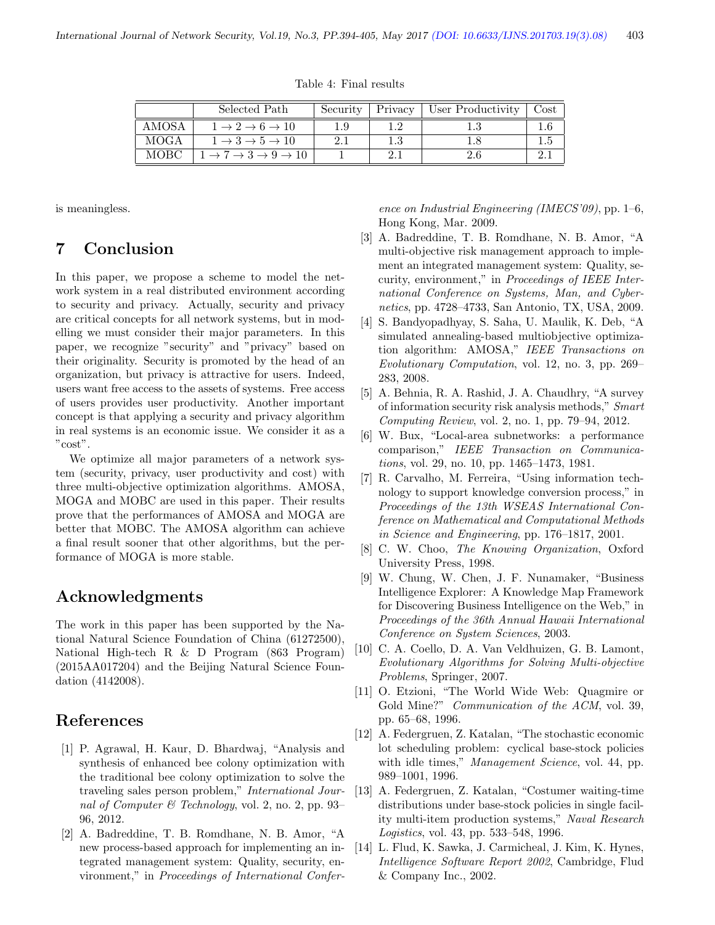Table 4: Final results

|             | Selected Path                                              | Security | Privacy | User Productivity | Cost |
|-------------|------------------------------------------------------------|----------|---------|-------------------|------|
| AMOSA       | $1 \rightarrow 2 \rightarrow 6 \rightarrow 10$             | 1.9      |         |                   |      |
| <b>MOGA</b> | $1 \rightarrow 3 \rightarrow 5 \rightarrow 10$             |          | 1.3     |                   |      |
| мовс        | $\rightarrow 7 \rightarrow 3 \rightarrow 9 \rightarrow 10$ |          |         | 2.6               |      |

is meaningless.

## 7 Conclusion

In this paper, we propose a scheme to model the network system in a real distributed environment according to security and privacy. Actually, security and privacy are critical concepts for all network systems, but in modelling we must consider their major parameters. In this paper, we recognize "security" and "privacy" based on their originality. Security is promoted by the head of an organization, but privacy is attractive for users. Indeed, users want free access to the assets of systems. Free access of users provides user productivity. Another important concept is that applying a security and privacy algorithm in real systems is an economic issue. We consider it as a "cost".

We optimize all major parameters of a network system (security, privacy, user productivity and cost) with three multi-objective optimization algorithms. AMOSA, MOGA and MOBC are used in this paper. Their results prove that the performances of AMOSA and MOGA are better that MOBC. The AMOSA algorithm can achieve a final result sooner that other algorithms, but the performance of MOGA is more stable.

### Acknowledgments

The work in this paper has been supported by the National Natural Science Foundation of China (61272500), National High-tech R & D Program (863 Program) (2015AA017204) and the Beijing Natural Science Foundation (4142008).

## References

- [1] P. Agrawal, H. Kaur, D. Bhardwaj, "Analysis and synthesis of enhanced bee colony optimization with the traditional bee colony optimization to solve the traveling sales person problem," International Journal of Computer  $\mathcal B$  Technology, vol. 2, no. 2, pp. 93– 96, 2012.
- [2] A. Badreddine, T. B. Romdhane, N. B. Amor, "A new process-based approach for implementing an integrated management system: Quality, security, environment," in Proceedings of International Confer-

ence on Industrial Engineering (IMECS'09), pp. 1–6, Hong Kong, Mar. 2009.

- [3] A. Badreddine, T. B. Romdhane, N. B. Amor, "A multi-objective risk management approach to implement an integrated management system: Quality, security, environment," in Proceedings of IEEE International Conference on Systems, Man, and Cybernetics, pp. 4728–4733, San Antonio, TX, USA, 2009.
- [4] S. Bandyopadhyay, S. Saha, U. Maulik, K. Deb, "A simulated annealing-based multiobjective optimization algorithm: AMOSA," IEEE Transactions on Evolutionary Computation, vol. 12, no. 3, pp. 269– 283, 2008.
- [5] A. Behnia, R. A. Rashid, J. A. Chaudhry, "A survey of information security risk analysis methods," Smart Computing Review, vol. 2, no. 1, pp. 79–94, 2012.
- [6] W. Bux, "Local-area subnetworks: a performance comparison," IEEE Transaction on Communications, vol. 29, no. 10, pp. 1465–1473, 1981.
- [7] R. Carvalho, M. Ferreira, "Using information technology to support knowledge conversion process," in Proceedings of the 13th WSEAS International Conference on Mathematical and Computational Methods in Science and Engineering, pp. 176–1817, 2001.
- [8] C. W. Choo, The Knowing Organization, Oxford University Press, 1998.
- [9] W. Chung, W. Chen, J. F. Nunamaker, "Business Intelligence Explorer: A Knowledge Map Framework for Discovering Business Intelligence on the Web," in Proceedings of the 36th Annual Hawaii International Conference on System Sciences, 2003.
- [10] C. A. Coello, D. A. Van Veldhuizen, G. B. Lamont, Evolutionary Algorithms for Solving Multi-objective Problems, Springer, 2007.
- [11] O. Etzioni, "The World Wide Web: Quagmire or Gold Mine?" Communication of the ACM, vol. 39, pp. 65–68, 1996.
- [12] A. Federgruen, Z. Katalan, "The stochastic economic lot scheduling problem: cyclical base-stock policies with idle times," *Management Science*, vol. 44, pp. 989–1001, 1996.
- [13] A. Federgruen, Z. Katalan, "Costumer waiting-time distributions under base-stock policies in single facility multi-item production systems," Naval Research Logistics, vol. 43, pp. 533–548, 1996.
- [14] L. Flud, K. Sawka, J. Carmicheal, J. Kim, K. Hynes, Intelligence Software Report 2002, Cambridge, Flud & Company Inc., 2002.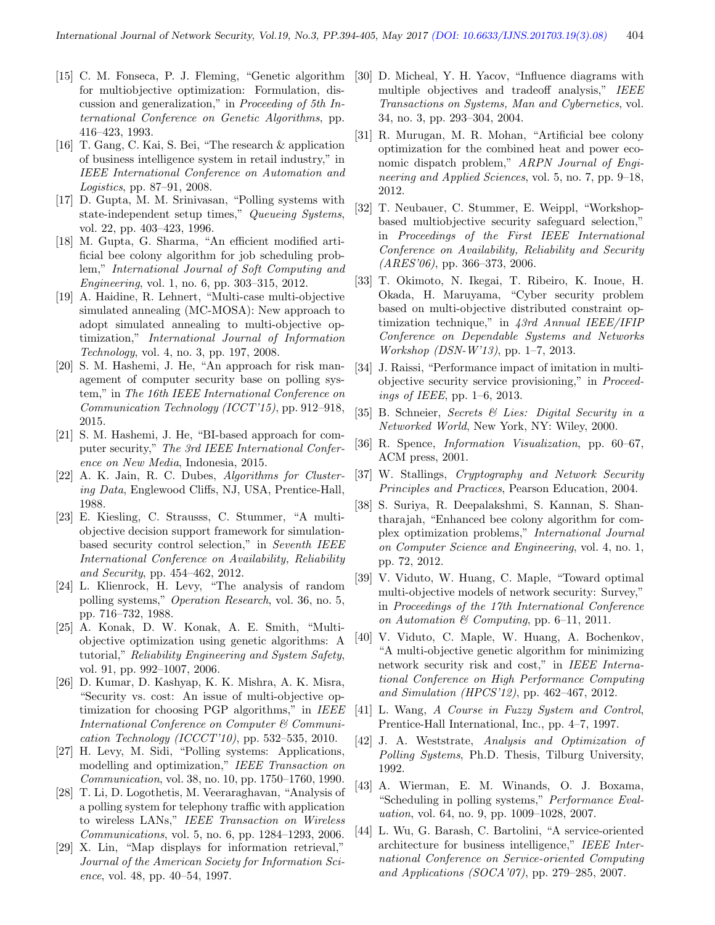- [15] C. M. Fonseca, P. J. Fleming, "Genetic algorithm for multiobjective optimization: Formulation, discussion and generalization," in Proceeding of 5th International Conference on Genetic Algorithms, pp. 416–423, 1993.
- [16] T. Gang, C. Kai, S. Bei, "The research & application of business intelligence system in retail industry," in IEEE International Conference on Automation and Logistics, pp. 87–91, 2008.
- [17] D. Gupta, M. M. Srinivasan, "Polling systems with state-independent setup times," Queueing Systems, vol. 22, pp. 403–423, 1996.
- [18] M. Gupta, G. Sharma, "An efficient modified artificial bee colony algorithm for job scheduling problem," International Journal of Soft Computing and Engineering, vol. 1, no. 6, pp. 303–315, 2012.
- [19] A. Haidine, R. Lehnert, "Multi-case multi-objective simulated annealing (MC-MOSA): New approach to adopt simulated annealing to multi-objective optimization," International Journal of Information Technology, vol. 4, no. 3, pp. 197, 2008.
- [20] S. M. Hashemi, J. He, "An approach for risk management of computer security base on polling system," in The 16th IEEE International Conference on Communication Technology (ICCT'15), pp. 912–918, 2015.
- [21] S. M. Hashemi, J. He, "BI-based approach for computer security," The 3rd IEEE International Conference on New Media, Indonesia, 2015.
- [22] A. K. Jain, R. C. Dubes, Algorithms for Clustering Data, Englewood Cliffs, NJ, USA, Prentice-Hall, 1988.
- [23] E. Kiesling, C. Strausss, C. Stummer, "A multiobjective decision support framework for simulationbased security control selection," in Seventh IEEE International Conference on Availability, Reliability and Security, pp. 454–462, 2012.
- [24] L. Klienrock, H. Levy, "The analysis of random polling systems," Operation Research, vol. 36, no. 5, pp. 716–732, 1988.
- [25] A. Konak, D. W. Konak, A. E. Smith, "Multiobjective optimization using genetic algorithms: A tutorial," Reliability Engineering and System Safety, vol. 91, pp. 992–1007, 2006.
- [26] D. Kumar, D. Kashyap, K. K. Mishra, A. K. Misra, "Security vs. cost: An issue of multi-objective optimization for choosing PGP algorithms," in IEEE International Conference on Computer & Communication Technology (ICCCT'10), pp. 532-535, 2010.
- [27] H. Levy, M. Sidi, "Polling systems: Applications, modelling and optimization," IEEE Transaction on Communication, vol. 38, no. 10, pp. 1750–1760, 1990.
- [28] T. Li, D. Logothetis, M. Veeraraghavan, "Analysis of a polling system for telephony traffic with application to wireless LANs," IEEE Transaction on Wireless Communications, vol. 5, no. 6, pp. 1284–1293, 2006.
- [29] X. Lin, "Map displays for information retrieval," Journal of the American Society for Information Science, vol. 48, pp. 40–54, 1997.
- [30] D. Micheal, Y. H. Yacov, "Influence diagrams with multiple objectives and tradeoff analysis," IEEE Transactions on Systems, Man and Cybernetics, vol. 34, no. 3, pp. 293–304, 2004.
- [31] R. Murugan, M. R. Mohan, "Artificial bee colony optimization for the combined heat and power economic dispatch problem," ARPN Journal of Engineering and Applied Sciences, vol. 5, no. 7, pp. 9–18, 2012.
- [32] T. Neubauer, C. Stummer, E. Weippl, "Workshopbased multiobjective security safeguard selection," in Proceedings of the First IEEE International Conference on Availability, Reliability and Security  $(ARES'06)$ , pp. 366-373, 2006.
- [33] T. Okimoto, N. Ikegai, T. Ribeiro, K. Inoue, H. Okada, H. Maruyama, "Cyber security problem based on multi-objective distributed constraint optimization technique," in 43rd Annual IEEE/IFIP Conference on Dependable Systems and Networks Workshop (DSN-W'13), pp. 1–7, 2013.
- [34] J. Raissi, "Performance impact of imitation in multiobjective security service provisioning," in Proceedings of IEEE, pp. 1–6, 2013.
- [35] B. Schneier, Secrets & Lies: Digital Security in a Networked World, New York, NY: Wiley, 2000.
- [36] R. Spence, Information Visualization, pp. 60–67, ACM press, 2001.
- [37] W. Stallings, Cryptography and Network Security Principles and Practices, Pearson Education, 2004.
- [38] S. Suriya, R. Deepalakshmi, S. Kannan, S. Shantharajah, "Enhanced bee colony algorithm for complex optimization problems," International Journal on Computer Science and Engineering, vol. 4, no. 1, pp. 72, 2012.
- [39] V. Viduto, W. Huang, C. Maple, "Toward optimal multi-objective models of network security: Survey," in Proceedings of the 17th International Conference on Automation  $\mathcal C$  Computing, pp. 6–11, 2011.
- [40] V. Viduto, C. Maple, W. Huang, A. Bochenkov, "A multi-objective genetic algorithm for minimizing network security risk and cost," in IEEE International Conference on High Performance Computing and Simulation (HPCS'12), pp. 462–467, 2012.
- [41] L. Wang, A Course in Fuzzy System and Control, Prentice-Hall International, Inc., pp. 4–7, 1997.
- [42] J. A. Weststrate, Analysis and Optimization of Polling Systems, Ph.D. Thesis, Tilburg University, 1992.
- [43] A. Wierman, E. M. Winands, O. J. Boxama, "Scheduling in polling systems," Performance Evaluation, vol. 64, no. 9, pp. 1009–1028, 2007.
- [44] L. Wu, G. Barash, C. Bartolini, "A service-oriented architecture for business intelligence," IEEE International Conference on Service-oriented Computing and Applications (SOCA'07), pp. 279–285, 2007.